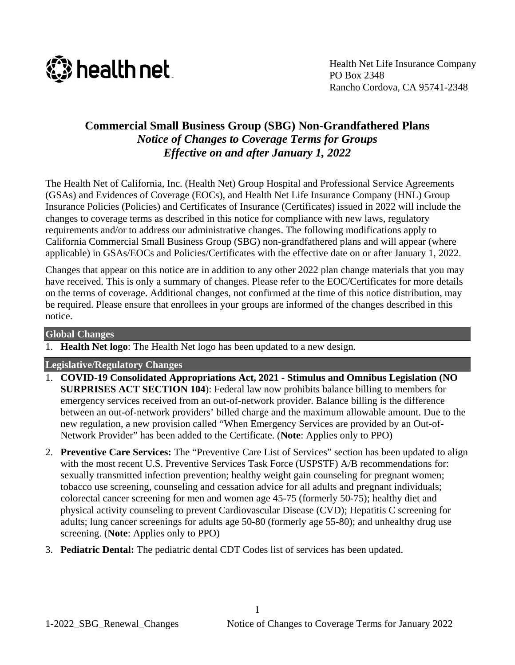

# **Commercial Small Business Group (SBG) Non-Grandfathered Plans** *Notice of Changes to Coverage Terms for Groups Effective on and after January 1, 2022*

The Health Net of California, Inc. (Health Net) Group Hospital and Professional Service Agreements (GSAs) and Evidences of Coverage (EOCs), and Health Net Life Insurance Company (HNL) Group Insurance Policies (Policies) and Certificates of Insurance (Certificates) issued in 2022 will include the changes to coverage terms as described in this notice for compliance with new laws, regulatory requirements and/or to address our administrative changes. The following modifications apply to California Commercial Small Business Group (SBG) non-grandfathered plans and will appear (where applicable) in GSAs/EOCs and Policies/Certificates with the effective date on or after January 1, 2022.

Changes that appear on this notice are in addition to any other 2022 plan change materials that you may have received. This is only a summary of changes. Please refer to the EOC/Certificates for more details on the terms of coverage. Additional changes, not confirmed at the time of this notice distribution, may be required. Please ensure that enrollees in your groups are informed of the changes described in this notice.

### **Global Changes**

1. **Health Net logo**: The Health Net logo has been updated to a new design.

## **Legislative/Regulatory Changes**

- 1. **COVID-19 Consolidated Appropriations Act, 2021 - Stimulus and Omnibus Legislation (NO SURPRISES ACT SECTION 104**): Federal law now prohibits balance billing to members for emergency services received from an out-of-network provider. Balance billing is the difference between an out-of-network providers' billed charge and the maximum allowable amount. Due to the new regulation, a new provision called "When Emergency Services are provided by an Out-of-Network Provider" has been added to the Certificate. (**Note**: Applies only to PPO)
- 2. **Preventive Care Services:** The "Preventive Care List of Services" section has been updated to align with the most recent U.S. Preventive Services Task Force (USPSTF) A/B recommendations for: sexually transmitted infection prevention; healthy weight gain counseling for pregnant women; tobacco use screening, counseling and cessation advice for all adults and pregnant individuals; colorectal cancer screening for men and women age 45-75 (formerly 50-75); healthy diet and physical activity counseling to prevent Cardiovascular Disease (CVD); Hepatitis C screening for adults; lung cancer screenings for adults age 50-80 (formerly age 55-80); and unhealthy drug use screening. (**Note**: Applies only to PPO)
- 3. **Pediatric Dental:** The pediatric dental CDT Codes list of services has been updated.